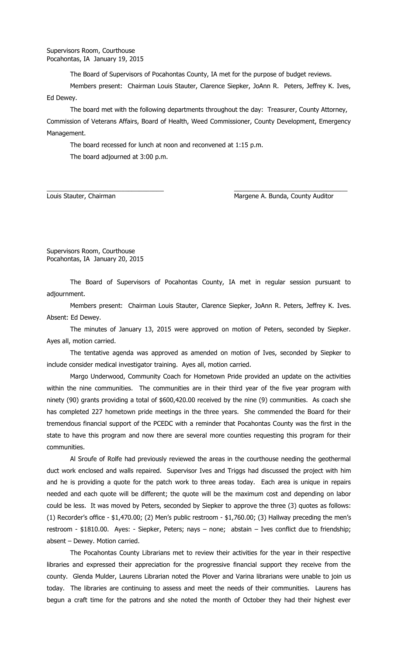The Board of Supervisors of Pocahontas County, IA met for the purpose of budget reviews.

Members present: Chairman Louis Stauter, Clarence Siepker, JoAnn R. Peters, Jeffrey K. Ives, Ed Dewey.

The board met with the following departments throughout the day: Treasurer, County Attorney, Commission of Veterans Affairs, Board of Health, Weed Commissioner, County Development, Emergency Management.

\_\_\_\_\_\_\_\_\_\_\_\_\_\_\_\_\_\_\_\_\_\_\_\_\_\_\_\_\_\_\_\_\_ \_\_\_\_\_\_\_\_\_\_\_\_\_\_\_\_\_\_\_\_\_\_\_\_\_\_\_\_\_\_\_\_

The board recessed for lunch at noon and reconvened at 1:15 p.m.

The board adjourned at 3:00 p.m.

Louis Stauter, Chairman Margene A. Bunda, County Auditor

Supervisors Room, Courthouse Pocahontas, IA January 20, 2015

The Board of Supervisors of Pocahontas County, IA met in regular session pursuant to adjournment.

Members present: Chairman Louis Stauter, Clarence Siepker, JoAnn R. Peters, Jeffrey K. Ives. Absent: Ed Dewey.

The minutes of January 13, 2015 were approved on motion of Peters, seconded by Siepker. Ayes all, motion carried.

The tentative agenda was approved as amended on motion of Ives, seconded by Siepker to include consider medical investigator training. Ayes all, motion carried.

Margo Underwood, Community Coach for Hometown Pride provided an update on the activities within the nine communities. The communities are in their third year of the five year program with ninety (90) grants providing a total of \$600,420.00 received by the nine (9) communities. As coach she has completed 227 hometown pride meetings in the three years. She commended the Board for their tremendous financial support of the PCEDC with a reminder that Pocahontas County was the first in the state to have this program and now there are several more counties requesting this program for their communities.

Al Sroufe of Rolfe had previously reviewed the areas in the courthouse needing the geothermal duct work enclosed and walls repaired. Supervisor Ives and Triggs had discussed the project with him and he is providing a quote for the patch work to three areas today. Each area is unique in repairs needed and each quote will be different; the quote will be the maximum cost and depending on labor could be less. It was moved by Peters, seconded by Siepker to approve the three (3) quotes as follows: (1) Recorder's office - \$1,470.00; (2) Men's public restroom - \$1,760.00; (3) Hallway preceding the men's restroom - \$1810.00. Ayes: - Siepker, Peters; nays – none; abstain – Ives conflict due to friendship; absent – Dewey. Motion carried.

The Pocahontas County Librarians met to review their activities for the year in their respective libraries and expressed their appreciation for the progressive financial support they receive from the county. Glenda Mulder, Laurens Librarian noted the Plover and Varina librarians were unable to join us today. The libraries are continuing to assess and meet the needs of their communities. Laurens has begun a craft time for the patrons and she noted the month of October they had their highest ever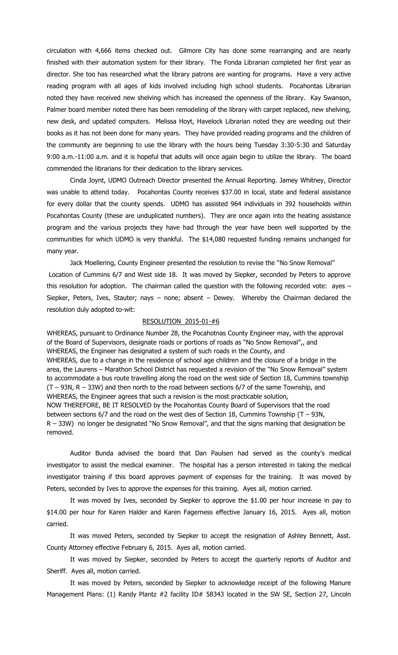circulation with 4,666 items checked out. Gilmore City has done some rearranging and are nearly finished with their automation system for their library. The Fonda Librarian completed her first year as director. She too has researched what the library patrons are wanting for programs. Have a very active reading program with all ages of kids involved including high school students. Pocahontas Librarian noted they have received new shelving which has increased the openness of the library. Kay Swanson, Palmer board member noted there has been remodeling of the library with carpet replaced, new shelving, new desk, and updated computers. Melissa Hoyt, Havelock Librarian noted they are weeding out their books as it has not been done for many years. They have provided reading programs and the children of the community are beginning to use the library with the hours being Tuesday 3:30-5:30 and Saturday 9:00 a.m.-11:00 a.m. and it is hopeful that adults will once again begin to utilize the library. The board commended the librarians for their dedication to the library services.

Cinda Joynt, UDMO Outreach Director presented the Annual Reporting. Jamey Whitney, Director was unable to attend today. Pocahontas County receives \$37.00 in local, state and federal assistance for every dollar that the county spends. UDMO has assisted 964 individuals in 392 households within Pocahontas County (these are unduplicated numbers). They are once again into the heating assistance program and the various projects they have had through the year have been well supported by the communities for which UDMO is very thankful. The \$14,080 requested funding remains unchanged for many year.

Jack Moellering, County Engineer presented the resolution to revise the "No Snow Removal" Location of Cummins 6/7 and West side 18. It was moved by Siepker, seconded by Peters to approve this resolution for adoption. The chairman called the question with the following recorded vote: ayes – Siepker, Peters, Ives, Stauter; nays – none; absent – Dewey. Whereby the Chairman declared the resolution duly adopted to-wit:

## RESOLUTION 2015-01-#6

WHEREAS, pursuant to Ordinance Number 28, the Pocahotnas County Engineer may, with the approval of the Board of Supervisors, designate roads or portions of roads as "No Snow Removal",, and WHEREAS, the Engineer has designated a system of such roads in the County, and WHEREAS, due to a change in the residence of school age children and the closure of a bridge in the area, the Laurens – Marathon School District has requested a revision of the "No Snow Removal" system to accommodate a bus route travelling along the road on the west side of Section 18, Cummins township (T – 93N, R – 33W) and then north to the road between sections 6/7 of the same Township, and WHEREAS, the Engineer agrees that such a revision is the most practicable solution, NOW THEREFORE, BE IT RESOLVED by the Pocahontas County Board of Supervisors that the road between sections  $6/7$  and the road on the west dies of Section 18, Cummins Township (T – 93N, R – 33W) no longer be designated "No Snow Removal", and that the signs marking that designation be removed.

Auditor Bunda advised the board that Dan Paulsen had served as the county's medical investigator to assist the medical examiner. The hospital has a person interested in taking the medical investigator training if this board approves payment of expenses for the training. It was moved by Peters, seconded by Ives to approve the expenses for this training. Ayes all, motion carried.

It was moved by Ives, seconded by Siepker to approve the \$1.00 per hour increase in pay to \$14.00 per hour for Karen Halder and Karen Fagerness effective January 16, 2015. Ayes all, motion carried.

It was moved Peters, seconded by Siepker to accept the resignation of Ashley Bennett, Asst. County Attorney effective February 6, 2015. Ayes all, motion carried.

It was moved by Siepker, seconded by Peters to accept the quarterly reports of Auditor and Sheriff. Ayes all, motion carried.

It was moved by Peters, seconded by Siepker to acknowledge receipt of the following Manure Management Plans: (1) Randy Plantz #2 facility ID# 58343 located in the SW SE, Section 27, Lincoln